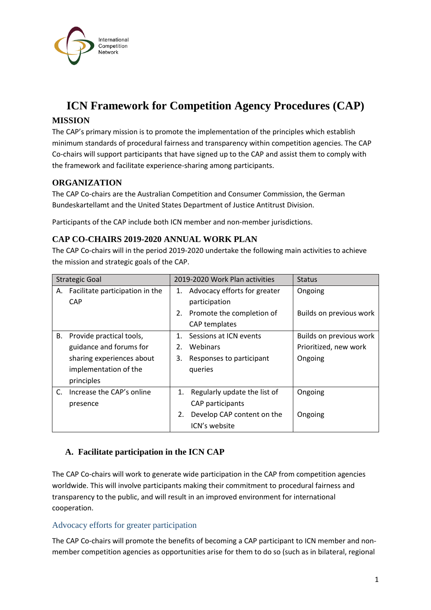

# **ICN Framework for Competition Agency Procedures (CAP)**

# **MISSION**

The CAP's primary mission is to promote the implementation of the principles which establish minimum standards of procedural fairness and transparency within competition agencies. The CAP Co-chairs will support participants that have signed up to the CAP and assist them to comply with the framework and facilitate experience-sharing among participants.

# **ORGANIZATION**

The CAP Co-chairs are the Australian Competition and Consumer Commission, the German Bundeskartellamt and the United States Department of Justice Antitrust Division.

Participants of the CAP include both ICN member and non-member jurisdictions.

# **CAP CO-CHAIRS 2019-2020 ANNUAL WORK PLAN**

The CAP Co-chairs will in the period 2019-2020 undertake the following main activities to achieve the mission and strategic goals of the CAP.

| <b>Strategic Goal</b>                               |         | 2019-2020 Work Plan activities |                                               | <b>Status</b>           |
|-----------------------------------------------------|---------|--------------------------------|-----------------------------------------------|-------------------------|
| Facilitate participation in the<br>А.<br><b>CAP</b> | 1.      |                                | Advocacy efforts for greater<br>participation | Ongoing                 |
|                                                     |         |                                | 2. Promote the completion of<br>CAP templates | Builds on previous work |
| Provide practical tools,<br>В.                      | $1_{-}$ |                                | Sessions at ICN events                        | Builds on previous work |
| guidance and forums for                             | $2_{-}$ |                                | Webinars                                      | Prioritized, new work   |
| sharing experiences about                           | 3.      |                                | Responses to participant                      | Ongoing                 |
| implementation of the                               |         |                                | queries                                       |                         |
| principles                                          |         |                                |                                               |                         |
| Increase the CAP's online<br>C.                     |         |                                | 1. Regularly update the list of               | Ongoing                 |
| presence                                            |         |                                | CAP participants                              |                         |
|                                                     |         | 2.                             | Develop CAP content on the                    | Ongoing                 |
|                                                     |         |                                | ICN's website                                 |                         |

# **A. Facilitate participation in the ICN CAP**

The CAP Co-chairs will work to generate wide participation in the CAP from competition agencies worldwide. This will involve participants making their commitment to procedural fairness and transparency to the public, and will result in an improved environment for international cooperation.

#### Advocacy efforts for greater participation

The CAP Co-chairs will promote the benefits of becoming a CAP participant to ICN member and nonmember competition agencies as opportunities arise for them to do so (such as in bilateral, regional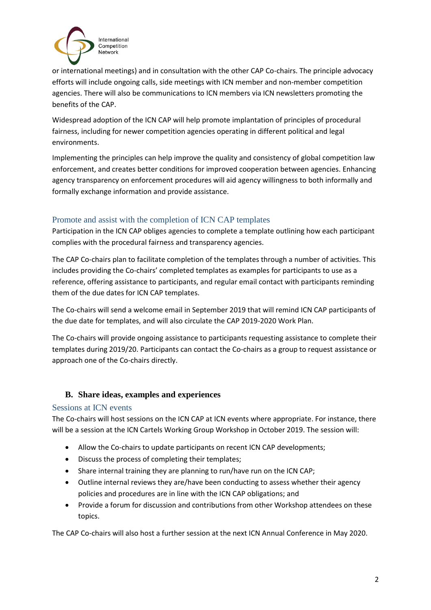

or international meetings) and in consultation with the other CAP Co-chairs. The principle advocacy efforts will include ongoing calls, side meetings with ICN member and non-member competition agencies. There will also be communications to ICN members via ICN newsletters promoting the benefits of the CAP.

Widespread adoption of the ICN CAP will help promote implantation of principles of procedural fairness, including for newer competition agencies operating in different political and legal environments.

Implementing the principles can help improve the quality and consistency of global competition law enforcement, and creates better conditions for improved cooperation between agencies. Enhancing agency transparency on enforcement procedures will aid agency willingness to both informally and formally exchange information and provide assistance.

# Promote and assist with the completion of ICN CAP templates

Participation in the ICN CAP obliges agencies to complete a template outlining how each participant complies with the procedural fairness and transparency agencies.

The CAP Co-chairs plan to facilitate completion of the templates through a number of activities. This includes providing the Co-chairs' completed templates as examples for participants to use as a reference, offering assistance to participants, and regular email contact with participants reminding them of the due dates for ICN CAP templates.

The Co-chairs will send a welcome email in September 2019 that will remind ICN CAP participants of the due date for templates, and will also circulate the CAP 2019-2020 Work Plan.

The Co-chairs will provide ongoing assistance to participants requesting assistance to complete their templates during 2019/20. Participants can contact the Co-chairs as a group to request assistance or approach one of the Co-chairs directly.

# **B. Share ideas, examples and experiences**

# Sessions at ICN events

The Co-chairs will host sessions on the ICN CAP at ICN events where appropriate. For instance, there will be a session at the ICN Cartels Working Group Workshop in October 2019. The session will:

- Allow the Co-chairs to update participants on recent ICN CAP developments;
- Discuss the process of completing their templates;
- Share internal training they are planning to run/have run on the ICN CAP;
- Outline internal reviews they are/have been conducting to assess whether their agency policies and procedures are in line with the ICN CAP obligations; and
- Provide a forum for discussion and contributions from other Workshop attendees on these topics.

The CAP Co-chairs will also host a further session at the next ICN Annual Conference in May 2020.